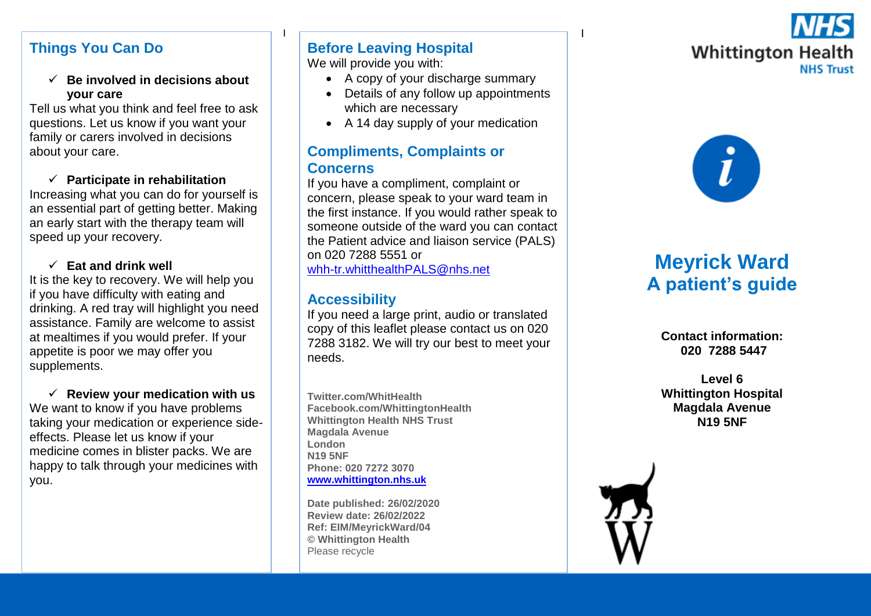# **Things You Can Do**

 **Be involved in decisions about your care** 

Tell us what you think and feel free to ask questions. Let us know if you want your family or carers involved in decisions about your care.

### **Participate in rehabilitation**

Increasing what you can do for yourself is an essential part of getting better. Making an early start with the therapy team will speed up your recovery.

### **Eat and drink well**

It is the key to recovery. We will help you if you have difficulty with eating and drinking. A red tray will highlight you need assistance. Family are welcome to assist at mealtimes if you would prefer. If your appetite is poor we may offer you supplements.

 $\checkmark$  Review your medication with us We want to know if you have problems taking your medication or experience sideeffects. Please let us know if your medicine comes in blister packs. We are happy to talk through your medicines with you.

#### <u>I i provincia de la contrada de la contrada de la contrada de la contrada de la contrada de la con</u> **Before Leaving Hospital**

We will provide you with:

- A copy of your discharge summary
- Details of any follow up appointments which are necessary
- A 14 day supply of your medication

# **Compliments, Complaints or Concerns**

If you have a compliment, complaint or concern, please speak to your ward team in the first instance. If you would rather speak to someone outside of the ward you can contact the Patient advice and liaison service (PALS) on 020 7288 5551 or [whh-tr.whitthealthPALS@nhs.net](mailto:whh-tr.whitthealthPALS@nhs.net)

# **Accessibility**

If you need a large print, audio or translated copy of this leaflet please contact us on 020 7288 3182. We will try our best to meet your needs.

**Twitter.com/WhitHealth Facebook.com/WhittingtonHealth Whittington Health NHS Trust Magdala Avenue London N19 5NF Phone: 020 7272 3070 [www.whittington.nhs.uk](http://www.whittington.nhs.uk/)**

**Date published: 26/02/2020 Review date: 26/02/2022 Ref: EIM/MeyrickWard/04 © Whittington Health** Please recycle





# **Meyrick Ward A patient's guide**

**Contact information: 020 7288 5447**

**Level 6 Whittington Hospital Magdala Avenue N19 5NF**